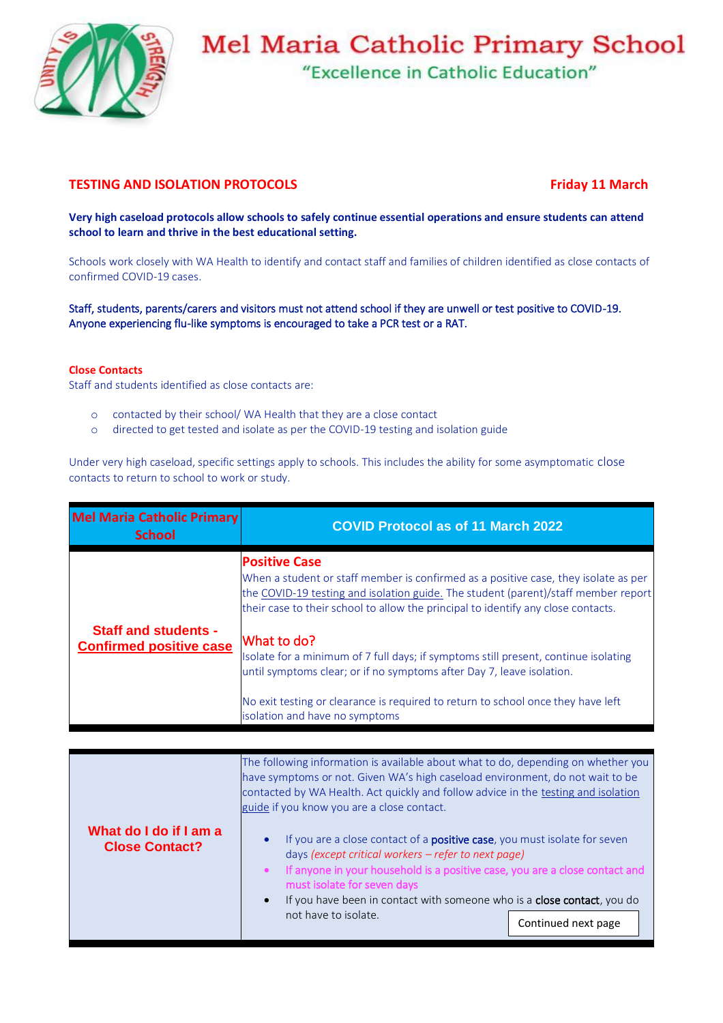

## **Mel Maria Catholic Primary School**

"Excellence in Catholic Education"

## **TESTING AND ISOLATION PROTOCOLS TESTING AND ISOLATION PROTOCOLS**

**Very high caseload protocols allow schools to safely continue essential operations and ensure students can attend school to learn and thrive in the best educational setting.**

Schools work closely with WA Health to identify and contact staff and families of children identified as close contacts of confirmed COVID-19 cases.

Staff, students, parents/carers and visitors must not attend school if they are unwell or test positive to COVID-19. Anyone experiencing flu-like symptoms is encouraged to take a PCR test or a RAT.

## **Close Contacts**

Staff and students identified as close contacts are:

- o contacted by their school/ WA Health that they are a close contact
- o directed to get tested and isolate as per the COVID-19 testing and isolation guide

Under very high caseload, specific settings apply to schools. This includes the ability for some asymptomatic close contacts to return to school to work or study.

| Mel Maria Catholic Primary<br><b>School</b>                   | <b>COVID Protocol as of 11 March 2022</b>                                                                                                                                                                                                                                                                                                                                                                                                                             |
|---------------------------------------------------------------|-----------------------------------------------------------------------------------------------------------------------------------------------------------------------------------------------------------------------------------------------------------------------------------------------------------------------------------------------------------------------------------------------------------------------------------------------------------------------|
| <b>Staff and students -</b><br><b>Confirmed positive case</b> | <b>Positive Case</b><br>When a student or staff member is confirmed as a positive case, they isolate as per<br>the COVID-19 testing and isolation guide. The student (parent)/staff member report<br>their case to their school to allow the principal to identify any close contacts.<br>What to do?<br>Isolate for a minimum of 7 full days; if symptoms still present, continue isolating<br>until symptoms clear; or if no symptoms after Day 7, leave isolation. |
|                                                               | No exit testing or clearance is required to return to school once they have left<br>isolation and have no symptoms                                                                                                                                                                                                                                                                                                                                                    |

|                                                 | The following information is available about what to do, depending on whether you<br>have symptoms or not. Given WA's high caseload environment, do not wait to be<br>contacted by WA Health. Act quickly and follow advice in the testing and isolation<br>guide if you know you are a close contact.                                                                 |                     |
|-------------------------------------------------|------------------------------------------------------------------------------------------------------------------------------------------------------------------------------------------------------------------------------------------------------------------------------------------------------------------------------------------------------------------------|---------------------|
| What do I do if I am a<br><b>Close Contact?</b> | If you are a close contact of a <b>positive case</b> , you must isolate for seven<br>days (except critical workers - refer to next page)<br>If anyone in your household is a positive case, you are a close contact and<br>must isolate for seven days<br>If you have been in contact with someone who is a close contact, you do<br>$\bullet$<br>not have to isolate. | Continued next page |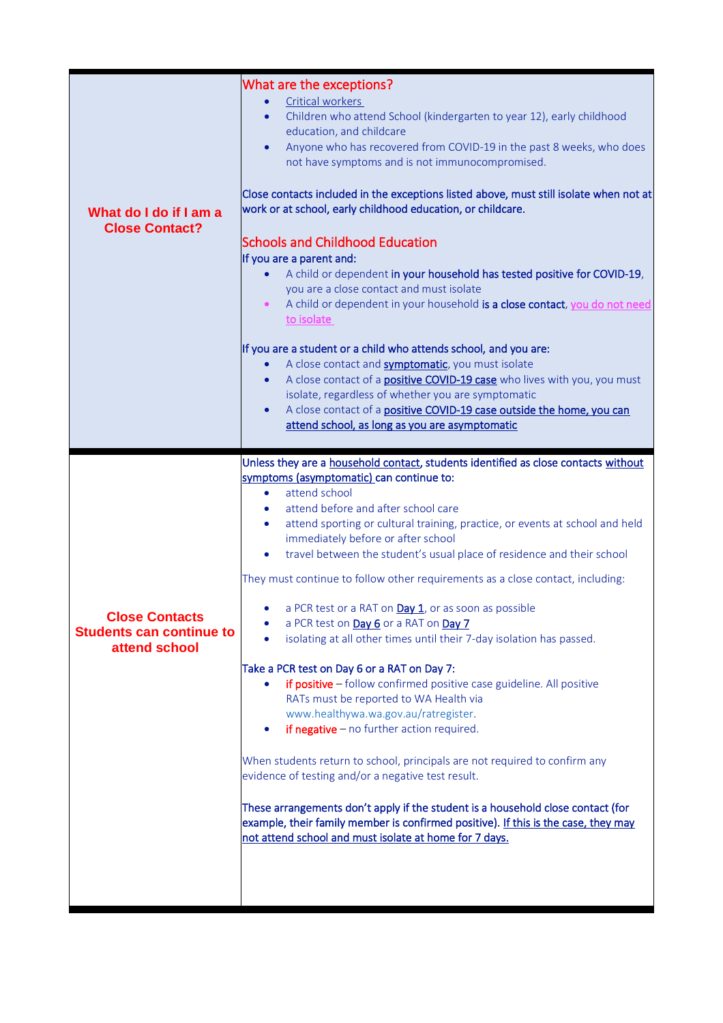| What do I do if I am a<br><b>Close Contact?</b>                           | What are the exceptions?<br>Critical workers<br>Children who attend School (kindergarten to year 12), early childhood<br>$\bullet$<br>education, and childcare<br>Anyone who has recovered from COVID-19 in the past 8 weeks, who does<br>$\bullet$<br>not have symptoms and is not immunocompromised.<br>Close contacts included in the exceptions listed above, must still isolate when not at<br>work or at school, early childhood education, or childcare.<br><b>Schools and Childhood Education</b><br>If you are a parent and:<br>A child or dependent in your household has tested positive for COVID-19,<br>$\bullet$<br>you are a close contact and must isolate<br>A child or dependent in your household is a close contact, you do not need<br>$\bullet$<br>to isolate<br>If you are a student or a child who attends school, and you are:                                                                                                                                                                                                                                                                                                                                                                                                                                                                 |
|---------------------------------------------------------------------------|-------------------------------------------------------------------------------------------------------------------------------------------------------------------------------------------------------------------------------------------------------------------------------------------------------------------------------------------------------------------------------------------------------------------------------------------------------------------------------------------------------------------------------------------------------------------------------------------------------------------------------------------------------------------------------------------------------------------------------------------------------------------------------------------------------------------------------------------------------------------------------------------------------------------------------------------------------------------------------------------------------------------------------------------------------------------------------------------------------------------------------------------------------------------------------------------------------------------------------------------------------------------------------------------------------------------------|
|                                                                           | A close contact and <b>symptomatic</b> , you must isolate<br>$\bullet$<br>A close contact of a <b>positive COVID-19 case</b> who lives with you, you must<br>$\bullet$<br>isolate, regardless of whether you are symptomatic<br>A close contact of a positive COVID-19 case outside the home, you can<br>$\bullet$<br>attend school, as long as you are asymptomatic                                                                                                                                                                                                                                                                                                                                                                                                                                                                                                                                                                                                                                                                                                                                                                                                                                                                                                                                                    |
| <b>Close Contacts</b><br><b>Students can continue to</b><br>attend school | Unless they are a household contact, students identified as close contacts without<br>symptoms (asymptomatic) can continue to:<br>attend school<br>$\bullet$<br>attend before and after school care<br>attend sporting or cultural training, practice, or events at school and held<br>$\bullet$<br>immediately before or after school<br>travel between the student's usual place of residence and their school<br>They must continue to follow other requirements as a close contact, including:<br>a PCR test or a RAT on Day 1, or as soon as possible<br>$\bullet$<br>a PCR test on Day 6 or a RAT on Day 7<br>isolating at all other times until their 7-day isolation has passed.<br>Take a PCR test on Day 6 or a RAT on Day 7:<br>if positive - follow confirmed positive case guideline. All positive<br>RATs must be reported to WA Health via<br>www.healthywa.wa.gov.au/ratregister.<br>if negative $-$ no further action required.<br>When students return to school, principals are not required to confirm any<br>evidence of testing and/or a negative test result.<br>These arrangements don't apply if the student is a household close contact (for<br>example, their family member is confirmed positive). If this is the case, they may<br>not attend school and must isolate at home for 7 days. |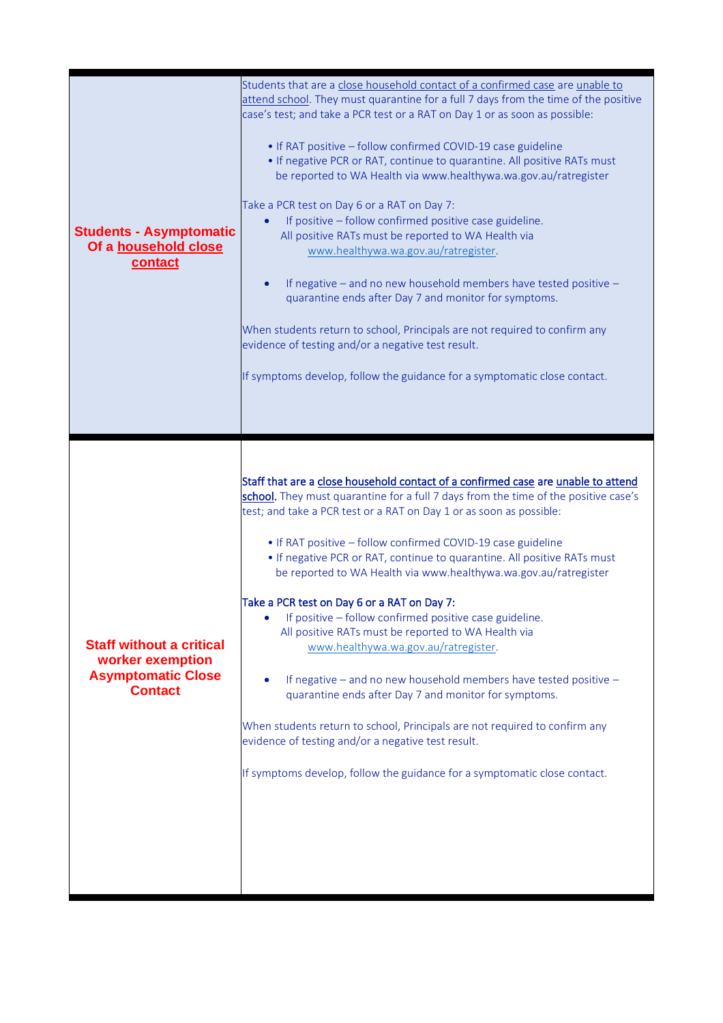| <b>Students - Asymptomatic</b><br>Of a household close<br>contact                                  | Students that are a close household contact of a confirmed case are unable to<br>attend school. They must quarantine for a full 7 days from the time of the positive<br>case's test; and take a PCR test or a RAT on Day 1 or as soon as possible:<br>• If RAT positive - follow confirmed COVID-19 case guideline<br>• If negative PCR or RAT, continue to quarantine. All positive RATs must<br>be reported to WA Health via www.healthywa.wa.gov.au/ratregister<br>Take a PCR test on Day 6 or a RAT on Day 7:<br>If positive - follow confirmed positive case guideline.<br>$\bullet$<br>All positive RATs must be reported to WA Health via<br>www.healthywa.wa.gov.au/ratregister.<br>If negative – and no new household members have tested positive –<br>quarantine ends after Day 7 and monitor for symptoms.<br>When students return to school, Principals are not required to confirm any<br>evidence of testing and/or a negative test result.<br>If symptoms develop, follow the guidance for a symptomatic close contact. |
|----------------------------------------------------------------------------------------------------|-----------------------------------------------------------------------------------------------------------------------------------------------------------------------------------------------------------------------------------------------------------------------------------------------------------------------------------------------------------------------------------------------------------------------------------------------------------------------------------------------------------------------------------------------------------------------------------------------------------------------------------------------------------------------------------------------------------------------------------------------------------------------------------------------------------------------------------------------------------------------------------------------------------------------------------------------------------------------------------------------------------------------------------------|
| <b>Staff without a critical</b><br>worker exemption<br><b>Asymptomatic Close</b><br><b>Contact</b> | Staff that are a close household contact of a confirmed case are unable to attend<br>school. They must quarantine for a full 7 days from the time of the positive case's<br>test; and take a PCR test or a RAT on Day 1 or as soon as possible:<br>• If RAT positive - follow confirmed COVID-19 case guideline<br>• If negative PCR or RAT, continue to quarantine. All positive RATs must<br>be reported to WA Health via www.healthywa.wa.gov.au/ratregister<br>Take a PCR test on Day 6 or a RAT on Day 7:<br>If positive - follow confirmed positive case guideline.<br>All positive RATs must be reported to WA Health via<br>www.healthywa.wa.gov.au/ratregister.<br>If negative - and no new household members have tested positive -<br>quarantine ends after Day 7 and monitor for symptoms.<br>When students return to school, Principals are not required to confirm any<br>evidence of testing and/or a negative test result.<br>If symptoms develop, follow the guidance for a symptomatic close contact.                 |